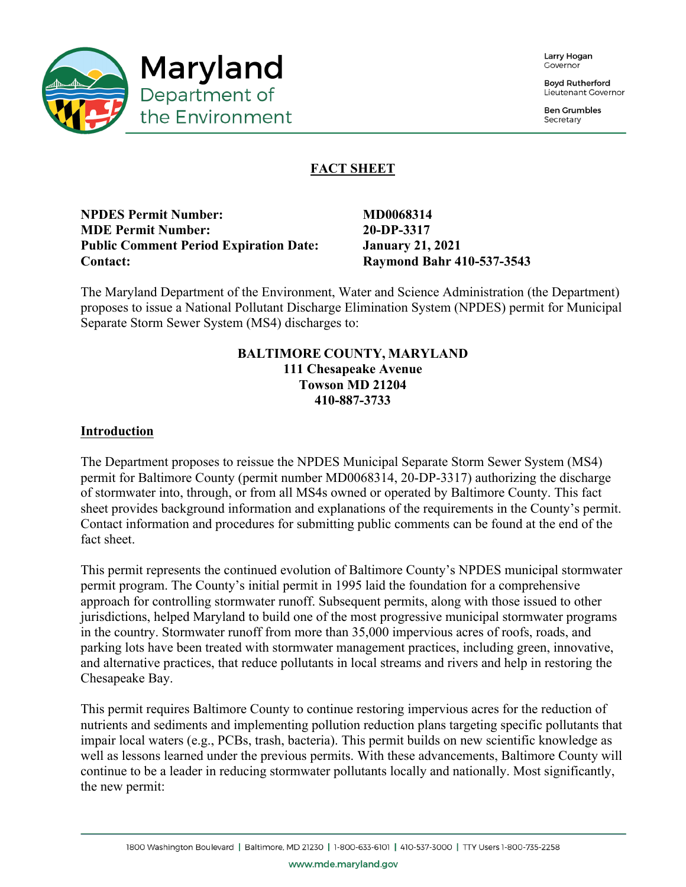

Larry Hogan Covernor

**Boyd Rutherford** Lieutenant Governor

**Ben Grumbles** Secretary

# **FACT SHEET**

**NPDES Permit Number:** MD0068314 **MDE Permit Number: 20-DP-3317 Public Comment Period Expiration Date: January 21, 2021 Contact: Raymond Bahr 410-537-3543**

The Maryland Department of the Environment, Water and Science Administration (the Department) proposes to issue a National Pollutant Discharge Elimination System (NPDES) permit for Municipal Separate Storm Sewer System (MS4) discharges to:

### **BALTIMORE COUNTY, MARYLAND 111 Chesapeake Avenue Towson MD 21204 410-887-3733**

### **Introduction**

The Department proposes to reissue the NPDES Municipal Separate Storm Sewer System (MS4) permit for Baltimore County (permit number MD0068314, 20-DP-3317) authorizing the discharge of stormwater into, through, or from all MS4s owned or operated by Baltimore County. This fact sheet provides background information and explanations of the requirements in the County's permit. Contact information and procedures for submitting public comments can be found at the end of the fact sheet.

This permit represents the continued evolution of Baltimore County's NPDES municipal stormwater permit program. The County's initial permit in 1995 laid the foundation for a comprehensive approach for controlling stormwater runoff. Subsequent permits, along with those issued to other jurisdictions, helped Maryland to build one of the most progressive municipal stormwater programs in the country. Stormwater runoff from more than 35,000 impervious acres of roofs, roads, and parking lots have been treated with stormwater management practices, including green, innovative, and alternative practices, that reduce pollutants in local streams and rivers and help in restoring the Chesapeake Bay.

This permit requires Baltimore County to continue restoring impervious acres for the reduction of nutrients and sediments and implementing pollution reduction plans targeting specific pollutants that impair local waters (e.g., PCBs, trash, bacteria). This permit builds on new scientific knowledge as well as lessons learned under the previous permits. With these advancements, Baltimore County will continue to be a leader in reducing stormwater pollutants locally and nationally. Most significantly, the new permit: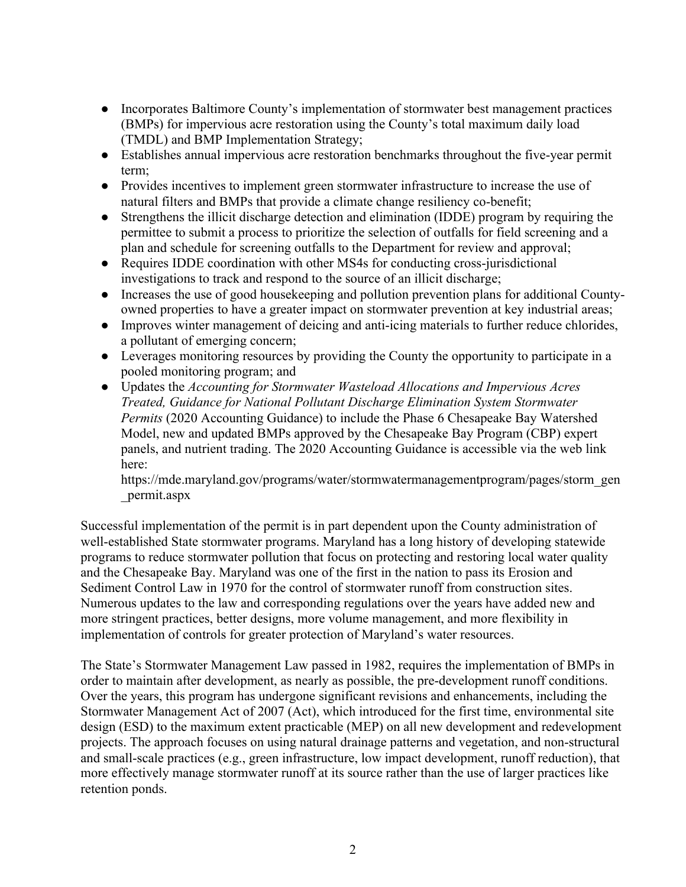- Incorporates Baltimore County's implementation of stormwater best management practices (BMPs) for impervious acre restoration using the County's total maximum daily load (TMDL) and BMP Implementation Strategy;
- Establishes annual impervious acre restoration benchmarks throughout the five-year permit term;
- Provides incentives to implement green stormwater infrastructure to increase the use of natural filters and BMPs that provide a climate change resiliency co-benefit;
- Strengthens the illicit discharge detection and elimination (IDDE) program by requiring the permittee to submit a process to prioritize the selection of outfalls for field screening and a plan and schedule for screening outfalls to the Department for review and approval;
- Requires IDDE coordination with other MS4s for conducting cross-jurisdictional investigations to track and respond to the source of an illicit discharge;
- Increases the use of good house keeping and pollution prevention plans for additional Countyowned properties to have a greater impact on stormwater prevention at key industrial areas;
- Improves winter management of deicing and anti-icing materials to further reduce chlorides, a pollutant of emerging concern;
- Leverages monitoring resources by providing the County the opportunity to participate in a pooled monitoring program; and
- Updates the *Accounting for Stormwater Wasteload Allocations and Impervious Acres Treated, Guidance for National Pollutant Discharge Elimination System Stormwater Permits* (2020 Accounting Guidance) to include the Phase 6 Chesapeake Bay Watershed Model, new and updated BMPs approved by the Chesapeake Bay Program (CBP) expert panels, and nutrient trading. The 2020 Accounting Guidance is accessible via the web link here:

https://mde.maryland.gov/programs/water/stormwatermanagementprogram/pages/storm\_gen \_permit.aspx

Successful implementation of the permit is in part dependent upon the County administration of well-established State stormwater programs. Maryland has a long history of developing statewide programs to reduce stormwater pollution that focus on protecting and restoring local water quality and the Chesapeake Bay. Maryland was one of the first in the nation to pass its Erosion and Sediment Control Law in 1970 for the control of stormwater runoff from construction sites. Numerous updates to the law and corresponding regulations over the years have added new and more stringent practices, better designs, more volume management, and more flexibility in implementation of controls for greater protection of Maryland's water resources.

The State's Stormwater Management Law passed in 1982, requires the implementation of BMPs in order to maintain after development, as nearly as possible, the pre-development runoff conditions. Over the years, this program has undergone significant revisions and enhancements, including the Stormwater Management Act of 2007 (Act), which introduced for the first time, environmental site design (ESD) to the maximum extent practicable (MEP) on all new development and redevelopment projects. The approach focuses on using natural drainage patterns and vegetation, and non-structural and small-scale practices (e.g., green infrastructure, low impact development, runoff reduction), that more effectively manage stormwater runoff at its source rather than the use of larger practices like retention ponds.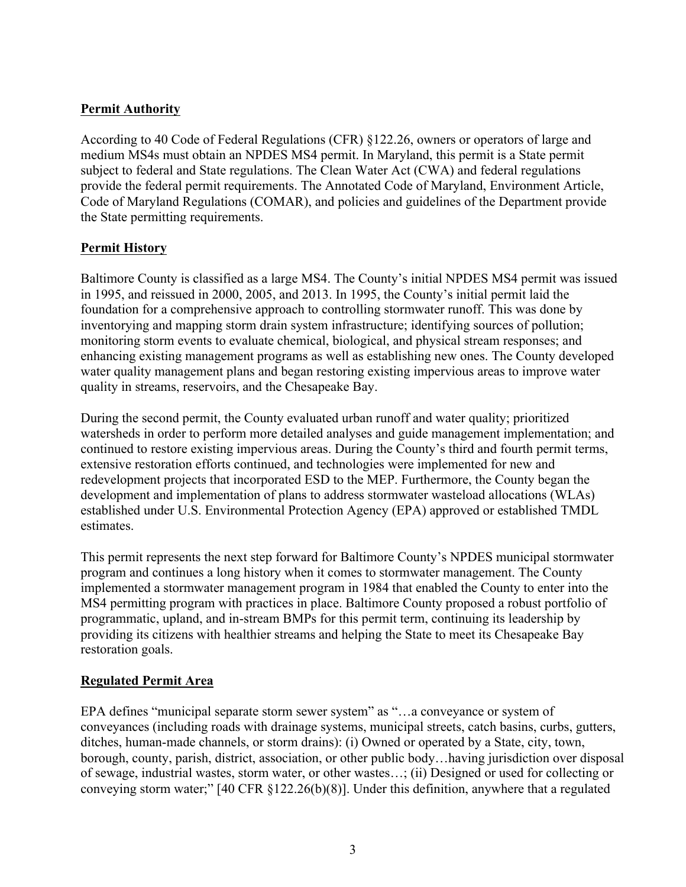# **Permit Authority**

According to 40 Code of Federal Regulations (CFR) §122.26, owners or operators of large and medium MS4s must obtain an NPDES MS4 permit. In Maryland, this permit is a State permit subject to federal and State regulations. The Clean Water Act (CWA) and federal regulations provide the federal permit requirements. The Annotated Code of Maryland, Environment Article, Code of Maryland Regulations (COMAR), and policies and guidelines of the Department provide the State permitting requirements.

# **Permit History**

Baltimore County is classified as a large MS4. The County's initial NPDES MS4 permit was issued in 1995, and reissued in 2000, 2005, and 2013. In 1995, the County's initial permit laid the foundation for a comprehensive approach to controlling stormwater runoff. This was done by inventorying and mapping storm drain system infrastructure; identifying sources of pollution; monitoring storm events to evaluate chemical, biological, and physical stream responses; and enhancing existing management programs as well as establishing new ones. The County developed water quality management plans and began restoring existing impervious areas to improve water quality in streams, reservoirs, and the Chesapeake Bay.

During the second permit, the County evaluated urban runoff and water quality; prioritized watersheds in order to perform more detailed analyses and guide management implementation; and continued to restore existing impervious areas. During the County's third and fourth permit terms, extensive restoration efforts continued, and technologies were implemented for new and redevelopment projects that incorporated ESD to the MEP. Furthermore, the County began the development and implementation of plans to address stormwater wasteload allocations (WLAs) established under U.S. Environmental Protection Agency (EPA) approved or established TMDL estimates.

This permit represents the next step forward for Baltimore County's NPDES municipal stormwater program and continues a long history when it comes to stormwater management. The County implemented a stormwater management program in 1984 that enabled the County to enter into the MS4 permitting program with practices in place. Baltimore County proposed a robust portfolio of programmatic, upland, and in-stream BMPs for this permit term, continuing its leadership by providing its citizens with healthier streams and helping the State to meet its Chesapeake Bay restoration goals.

# **Regulated Permit Area**

EPA defines "municipal separate storm sewer system" as "…a conveyance or system of conveyances (including roads with drainage systems, municipal streets, catch basins, curbs, gutters, ditches, human-made channels, or storm drains): (i) Owned or operated by a State, city, town, borough, county, parish, district, association, or other public body…having jurisdiction over disposal of sewage, industrial wastes, storm water, or other wastes…; (ii) Designed or used for collecting or conveying storm water;" [40 CFR §122.26(b)(8)]. Under this definition, anywhere that a regulated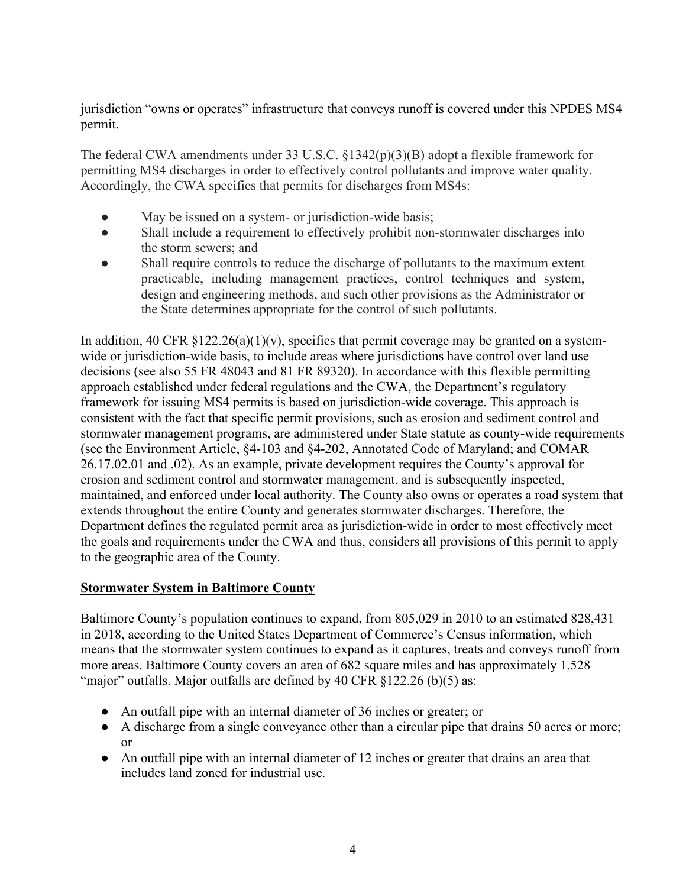jurisdiction "owns or operates" infrastructure that conveys runoff is covered under this NPDES MS4 permit.

The federal CWA amendments under 33 U.S.C. §1342(p)(3)(B) adopt a flexible framework for permitting MS4 discharges in order to effectively control pollutants and improve water quality. Accordingly, the CWA specifies that permits for discharges from MS4s:

- May be issued on a system- or jurisdiction-wide basis;
- Shall include a requirement to effectively prohibit non-stormwater discharges into the storm sewers; and
- Shall require controls to reduce the discharge of pollutants to the maximum extent practicable, including management practices, control techniques and system, design and engineering methods, and such other provisions as the Administrator or the State determines appropriate for the control of such pollutants.

In addition, 40 CFR  $\S 122.26(a)(1)(v)$ , specifies that permit coverage may be granted on a systemwide or jurisdiction-wide basis, to include areas where jurisdictions have control over land use decisions (see also 55 FR 48043 and 81 FR 89320). In accordance with this flexible permitting approach established under federal regulations and the CWA, the Department's regulatory framework for issuing MS4 permits is based on jurisdiction-wide coverage. This approach is consistent with the fact that specific permit provisions, such as erosion and sediment control and stormwater management programs, are administered under State statute as county-wide requirements (see the Environment Article, §4-103 and §4-202, Annotated Code of Maryland; and COMAR 26.17.02.01 and .02). As an example, private development requires the County's approval for erosion and sediment control and stormwater management, and is subsequently inspected, maintained, and enforced under local authority. The County also owns or operates a road system that extends throughout the entire County and generates stormwater discharges. Therefore, the Department defines the regulated permit area as jurisdiction-wide in order to most effectively meet the goals and requirements under the CWA and thus, considers all provisions of this permit to apply to the geographic area of the County.

# **Stormwater System in Baltimore County**

Baltimore County's population continues to expand, from 805,029 in 2010 to an estimated 828,431 in 2018, according to the United States Department of Commerce's Census information, which means that the stormwater system continues to expand as it captures, treats and conveys runoff from more areas. Baltimore County covers an area of 682 square miles and has approximately 1,528 "major" outfalls. Major outfalls are defined by 40 CFR  $\S$ 122.26 (b)(5) as:

- An outfall pipe with an internal diameter of 36 inches or greater; or
- A discharge from a single conveyance other than a circular pipe that drains 50 acres or more; or
- An outfall pipe with an internal diameter of 12 inches or greater that drains an area that includes land zoned for industrial use.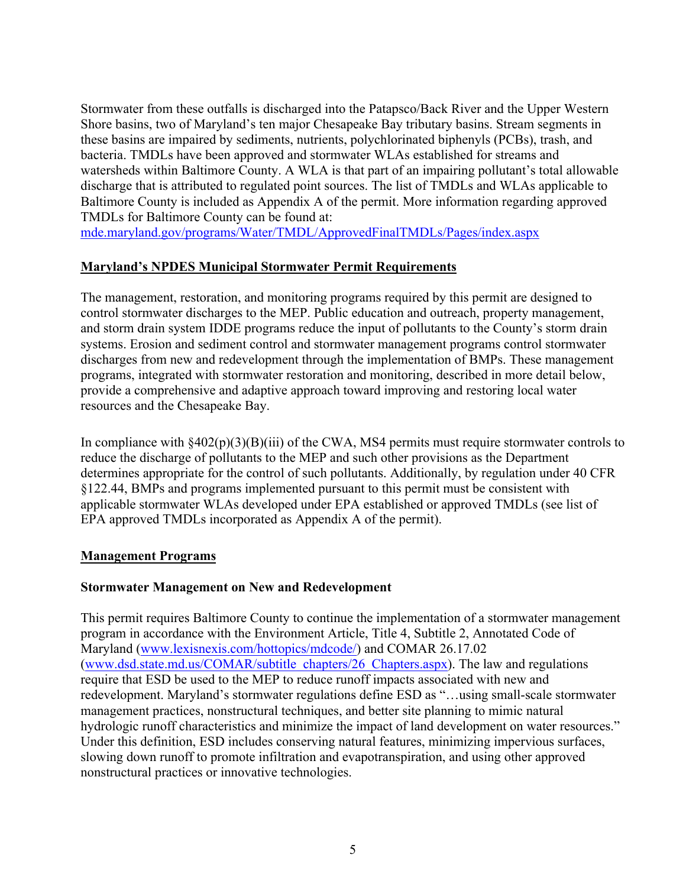Stormwater from these outfalls is discharged into the Patapsco/Back River and the Upper Western Shore basins, two of Maryland's ten major Chesapeake Bay tributary basins. Stream segments in these basins are impaired by sediments, nutrients, polychlorinated biphenyls (PCBs), trash, and bacteria. TMDLs have been approved and stormwater WLAs established for streams and watersheds within Baltimore County. A WLA is that part of an impairing pollutant's total allowable discharge that is attributed to regulated point sources. The list of TMDLs and WLAs applicable to Baltimore County is included as Appendix A of the permit. More information regarding approved TMDLs for Baltimore County can be found at:

mde.maryland.gov/programs/Water/TMDL/ApprovedFinalTMDLs/Pages/index.aspx

### **Maryland's NPDES Municipal Stormwater Permit Requirements**

The management, restoration, and monitoring programs required by this permit are designed to control stormwater discharges to the MEP. Public education and outreach, property management, and storm drain system IDDE programs reduce the input of pollutants to the County's storm drain systems. Erosion and sediment control and stormwater management programs control stormwater discharges from new and redevelopment through the implementation of BMPs. These management programs, integrated with stormwater restoration and monitoring, described in more detail below, provide a comprehensive and adaptive approach toward improving and restoring local water resources and the Chesapeake Bay.

In compliance with §402(p)(3)(B)(iii) of the CWA, MS4 permits must require stormwater controls to reduce the discharge of pollutants to the MEP and such other provisions as the Department determines appropriate for the control of such pollutants. Additionally, by regulation under 40 CFR §122.44, BMPs and programs implemented pursuant to this permit must be consistent with applicable stormwater WLAs developed under EPA established or approved TMDLs (see list of EPA approved TMDLs incorporated as Appendix A of the permit).

#### **Management Programs**

# **Stormwater Management on New and Redevelopment**

This permit requires Baltimore County to continue the implementation of a stormwater management program in accordance with the Environment Article, Title 4, Subtitle 2, Annotated Code of Maryland (www.lexisnexis.com/hottopics/mdcode/) and COMAR 26.17.02 (www.dsd.state.md.us/COMAR/subtitle\_chapters/26\_Chapters.aspx). The law and regulations require that ESD be used to the MEP to reduce runoff impacts associated with new and redevelopment. Maryland's stormwater regulations define ESD as "…using small-scale stormwater management practices, nonstructural techniques, and better site planning to mimic natural hydrologic runoff characteristics and minimize the impact of land development on water resources." Under this definition, ESD includes conserving natural features, minimizing impervious surfaces, slowing down runoff to promote infiltration and evapotranspiration, and using other approved nonstructural practices or innovative technologies.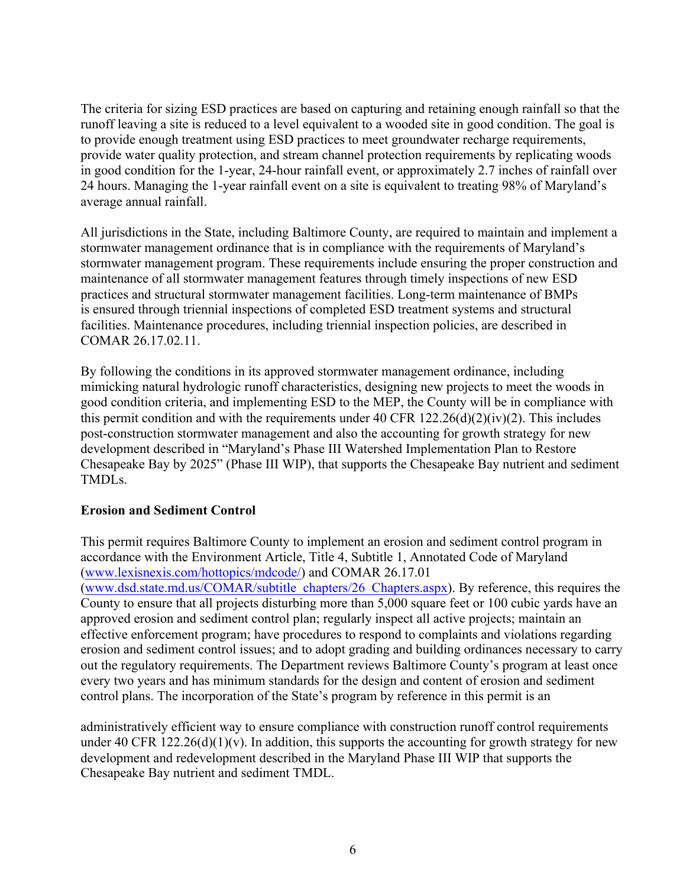The criteria for sizing ESD practices are based on capturing and retaining enough rainfall so that the runoff leaving a site is reduced to a level equivalent to a wooded site in good condition. The goal is to provide enough treatment using ESD practices to meet groundwater recharge requirements, provide water quality protection, and stream channel protection requirements by replicating woods in good condition for the 1-year, 24-hour rainfall event, or approximately 2.7 inches of rainfall over 24 hours. Managing the 1-year rainfall event on a site is equivalent to treating 98% of Maryland's average annual rainfall.

All jurisdictions in the State, including Baltimore County, are required to maintain and implement a stormwater management ordinance that is in compliance with the requirements of Maryland's stormwater management program. These requirements include ensuring the proper construction and maintenance of all stormwater management features through timely inspections of new ESD practices and structural stormwater management facilities. Long-term maintenance of BMPs is ensured through triennial inspections of completed ESD treatment systems and structural facilities. Maintenance procedures, including triennial inspection policies, are described in COMAR 26.17.02.11.

By following the conditions in its approved stormwater management ordinance, including mimicking natural hydrologic runoff characteristics, designing new projects to meet the woods in good condition criteria, and implementing ESD to the MEP, the County will be in compliance with this permit condition and with the requirements under 40 CFR  $122.26(d)(2)(iv)(2)$ . This includes post-construction stormwater management and also the accounting for growth strategy for new development described in "Maryland's Phase III Watershed Implementation Plan to Restore Chesapeake Bay by 2025" (Phase III WIP), that supports the Chesapeake Bay nutrient and sediment TMDLs.

# **Erosion and Sediment Control**

This permit requires Baltimore County to implement an erosion and sediment control program in accordance with the Environment Article, Title 4, Subtitle 1, Annotated Code of Maryland (www.lexisnexis.com/hottopics/mdcode/) and COMAR 26.17.01 (www.dsd.state.md.us/COMAR/subtitle\_chapters/26\_Chapters.aspx). By reference, this requires the County to ensure that all projects disturbing more than 5,000 square feet or 100 cubic yards have an approved erosion and sediment control plan; regularly inspect all active projects; maintain an effective enforcement program; have procedures to respond to complaints and violations regarding erosion and sediment control issues; and to adopt grading and building ordinances necessary to carry out the regulatory requirements. The Department reviews Baltimore County's program at least once every two years and has minimum standards for the design and content of erosion and sediment control plans. The incorporation of the State's program by reference in this permit is an

administratively efficient way to ensure compliance with construction runoff control requirements under 40 CFR  $122.26(d)(1)(v)$ . In addition, this supports the accounting for growth strategy for new development and redevelopment described in the Maryland Phase III WIP that supports the Chesapeake Bay nutrient and sediment TMDL.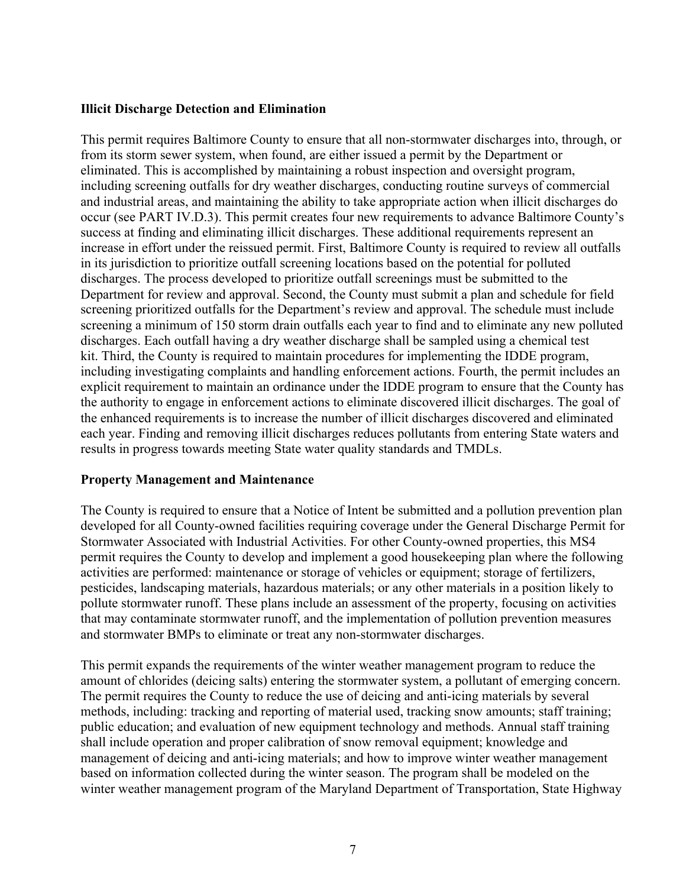### **Illicit Discharge Detection and Elimination**

This permit requires Baltimore County to ensure that all non-stormwater discharges into, through, or from its storm sewer system, when found, are either issued a permit by the Department or eliminated. This is accomplished by maintaining a robust inspection and oversight program, including screening outfalls for dry weather discharges, conducting routine surveys of commercial and industrial areas, and maintaining the ability to take appropriate action when illicit discharges do occur (see PART IV.D.3). This permit creates four new requirements to advance Baltimore County's success at finding and eliminating illicit discharges. These additional requirements represent an increase in effort under the reissued permit. First, Baltimore County is required to review all outfalls in its jurisdiction to prioritize outfall screening locations based on the potential for polluted discharges. The process developed to prioritize outfall screenings must be submitted to the Department for review and approval. Second, the County must submit a plan and schedule for field screening prioritized outfalls for the Department's review and approval. The schedule must include screening a minimum of 150 storm drain outfalls each year to find and to eliminate any new polluted discharges. Each outfall having a dry weather discharge shall be sampled using a chemical test kit. Third, the County is required to maintain procedures for implementing the IDDE program, including investigating complaints and handling enforcement actions. Fourth, the permit includes an explicit requirement to maintain an ordinance under the IDDE program to ensure that the County has the authority to engage in enforcement actions to eliminate discovered illicit discharges. The goal of the enhanced requirements is to increase the number of illicit discharges discovered and eliminated each year. Finding and removing illicit discharges reduces pollutants from entering State waters and results in progress towards meeting State water quality standards and TMDLs.

# **Property Management and Maintenance**

The County is required to ensure that a Notice of Intent be submitted and a pollution prevention plan developed for all County-owned facilities requiring coverage under the General Discharge Permit for Stormwater Associated with Industrial Activities. For other County-owned properties, this MS4 permit requires the County to develop and implement a good housekeeping plan where the following activities are performed: maintenance or storage of vehicles or equipment; storage of fertilizers, pesticides, landscaping materials, hazardous materials; or any other materials in a position likely to pollute stormwater runoff. These plans include an assessment of the property, focusing on activities that may contaminate stormwater runoff, and the implementation of pollution prevention measures and stormwater BMPs to eliminate or treat any non-stormwater discharges.

This permit expands the requirements of the winter weather management program to reduce the amount of chlorides (deicing salts) entering the stormwater system, a pollutant of emerging concern. The permit requires the County to reduce the use of deicing and anti-icing materials by several methods, including: tracking and reporting of material used, tracking snow amounts; staff training; public education; and evaluation of new equipment technology and methods. Annual staff training shall include operation and proper calibration of snow removal equipment; knowledge and management of deicing and anti-icing materials; and how to improve winter weather management based on information collected during the winter season. The program shall be modeled on the winter weather management program of the Maryland Department of Transportation, State Highway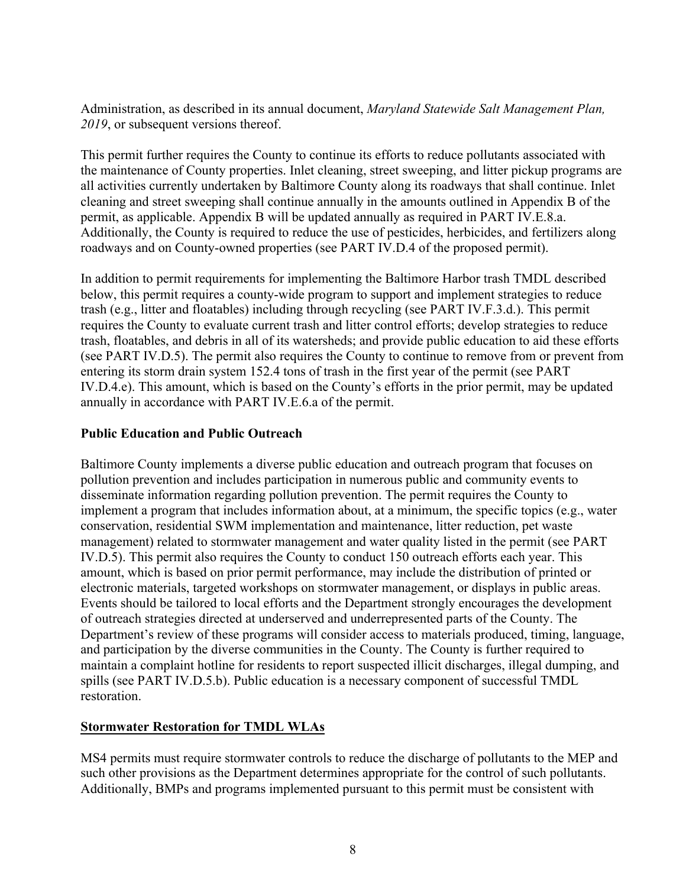Administration, as described in its annual document, *Maryland Statewide Salt Management Plan, 2019*, or subsequent versions thereof.

This permit further requires the County to continue its efforts to reduce pollutants associated with the maintenance of County properties. Inlet cleaning, street sweeping, and litter pickup programs are all activities currently undertaken by Baltimore County along its roadways that shall continue. Inlet cleaning and street sweeping shall continue annually in the amounts outlined in Appendix B of the permit, as applicable. Appendix B will be updated annually as required in PART IV.E.8.a. Additionally, the County is required to reduce the use of pesticides, herbicides, and fertilizers along roadways and on County-owned properties (see PART IV.D.4 of the proposed permit).

In addition to permit requirements for implementing the Baltimore Harbor trash TMDL described below, this permit requires a county-wide program to support and implement strategies to reduce trash (e.g., litter and floatables) including through recycling (see PART IV.F.3.d.). This permit requires the County to evaluate current trash and litter control efforts; develop strategies to reduce trash, floatables, and debris in all of its watersheds; and provide public education to aid these efforts (see PART IV.D.5). The permit also requires the County to continue to remove from or prevent from entering its storm drain system 152.4 tons of trash in the first year of the permit (see PART IV.D.4.e). This amount, which is based on the County's efforts in the prior permit, may be updated annually in accordance with PART IV.E.6.a of the permit.

# **Public Education and Public Outreach**

Baltimore County implements a diverse public education and outreach program that focuses on pollution prevention and includes participation in numerous public and community events to disseminate information regarding pollution prevention. The permit requires the County to implement a program that includes information about, at a minimum, the specific topics (e.g., water conservation, residential SWM implementation and maintenance, litter reduction, pet waste management) related to stormwater management and water quality listed in the permit (see PART IV.D.5). This permit also requires the County to conduct 150 outreach efforts each year. This amount, which is based on prior permit performance, may include the distribution of printed or electronic materials, targeted workshops on stormwater management, or displays in public areas. Events should be tailored to local efforts and the Department strongly encourages the development of outreach strategies directed at underserved and underrepresented parts of the County. The Department's review of these programs will consider access to materials produced, timing, language, and participation by the diverse communities in the County. The County is further required to maintain a complaint hotline for residents to report suspected illicit discharges, illegal dumping, and spills (see PART IV.D.5.b). Public education is a necessary component of successful TMDL restoration.

# **Stormwater Restoration for TMDL WLAs**

MS4 permits must require stormwater controls to reduce the discharge of pollutants to the MEP and such other provisions as the Department determines appropriate for the control of such pollutants. Additionally, BMPs and programs implemented pursuant to this permit must be consistent with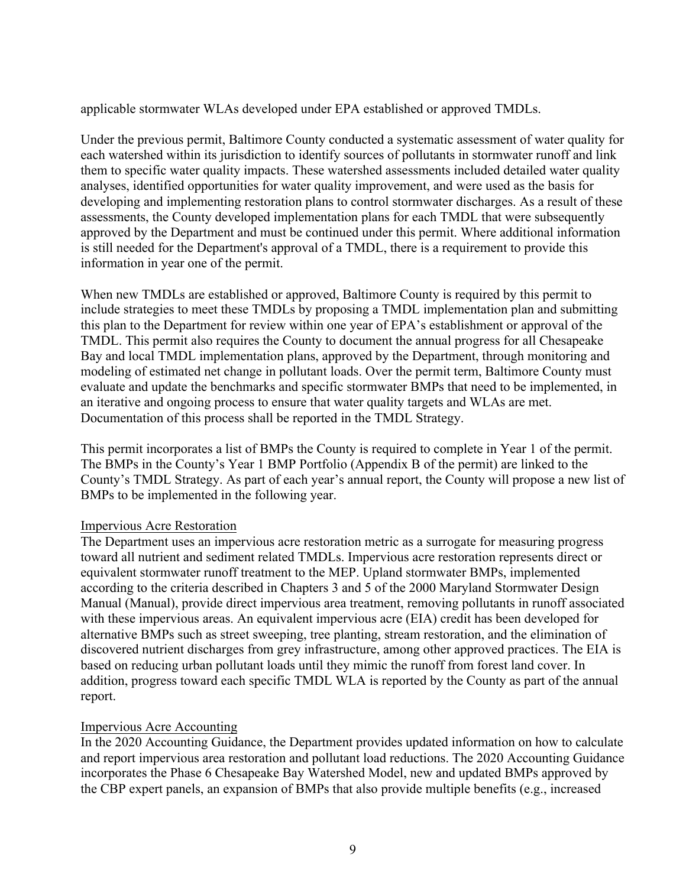applicable stormwater WLAs developed under EPA established or approved TMDLs.

Under the previous permit, Baltimore County conducted a systematic assessment of water quality for each watershed within its jurisdiction to identify sources of pollutants in stormwater runoff and link them to specific water quality impacts. These watershed assessments included detailed water quality analyses, identified opportunities for water quality improvement, and were used as the basis for developing and implementing restoration plans to control stormwater discharges. As a result of these assessments, the County developed implementation plans for each TMDL that were subsequently approved by the Department and must be continued under this permit. Where additional information is still needed for the Department's approval of a TMDL, there is a requirement to provide this information in year one of the permit.

When new TMDLs are established or approved, Baltimore County is required by this permit to include strategies to meet these TMDLs by proposing a TMDL implementation plan and submitting this plan to the Department for review within one year of EPA's establishment or approval of the TMDL. This permit also requires the County to document the annual progress for all Chesapeake Bay and local TMDL implementation plans, approved by the Department, through monitoring and modeling of estimated net change in pollutant loads. Over the permit term, Baltimore County must evaluate and update the benchmarks and specific stormwater BMPs that need to be implemented, in an iterative and ongoing process to ensure that water quality targets and WLAs are met. Documentation of this process shall be reported in the TMDL Strategy.

This permit incorporates a list of BMPs the County is required to complete in Year 1 of the permit. The BMPs in the County's Year 1 BMP Portfolio (Appendix B of the permit) are linked to the County's TMDL Strategy. As part of each year's annual report, the County will propose a new list of BMPs to be implemented in the following year.

#### Impervious Acre Restoration

The Department uses an impervious acre restoration metric as a surrogate for measuring progress toward all nutrient and sediment related TMDLs. Impervious acre restoration represents direct or equivalent stormwater runoff treatment to the MEP. Upland stormwater BMPs, implemented according to the criteria described in Chapters 3 and 5 of the 2000 Maryland Stormwater Design Manual (Manual), provide direct impervious area treatment, removing pollutants in runoff associated with these impervious areas. An equivalent impervious acre (EIA) credit has been developed for alternative BMPs such as street sweeping, tree planting, stream restoration, and the elimination of discovered nutrient discharges from grey infrastructure, among other approved practices. The EIA is based on reducing urban pollutant loads until they mimic the runoff from forest land cover. In addition, progress toward each specific TMDL WLA is reported by the County as part of the annual report.

#### Impervious Acre Accounting

In the 2020 Accounting Guidance, the Department provides updated information on how to calculate and report impervious area restoration and pollutant load reductions. The 2020 Accounting Guidance incorporates the Phase 6 Chesapeake Bay Watershed Model, new and updated BMPs approved by the CBP expert panels, an expansion of BMPs that also provide multiple benefits (e.g., increased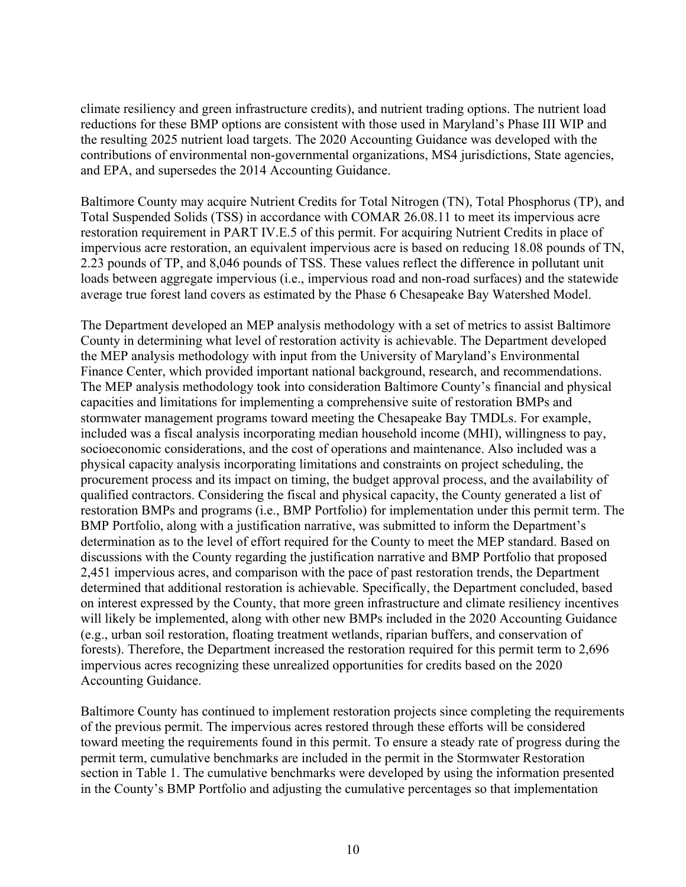climate resiliency and green infrastructure credits), and nutrient trading options. The nutrient load reductions for these BMP options are consistent with those used in Maryland's Phase III WIP and the resulting 2025 nutrient load targets. The 2020 Accounting Guidance was developed with the contributions of environmental non-governmental organizations, MS4 jurisdictions, State agencies, and EPA, and supersedes the 2014 Accounting Guidance.

Baltimore County may acquire Nutrient Credits for Total Nitrogen (TN), Total Phosphorus (TP), and Total Suspended Solids (TSS) in accordance with COMAR 26.08.11 to meet its impervious acre restoration requirement in PART IV.E.5 of this permit. For acquiring Nutrient Credits in place of impervious acre restoration, an equivalent impervious acre is based on reducing 18.08 pounds of TN, 2.23 pounds of TP, and 8,046 pounds of TSS. These values reflect the difference in pollutant unit loads between aggregate impervious (i.e., impervious road and non-road surfaces) and the statewide average true forest land covers as estimated by the Phase 6 Chesapeake Bay Watershed Model.

The Department developed an MEP analysis methodology with a set of metrics to assist Baltimore County in determining what level of restoration activity is achievable. The Department developed the MEP analysis methodology with input from the University of Maryland's Environmental Finance Center, which provided important national background, research, and recommendations. The MEP analysis methodology took into consideration Baltimore County's financial and physical capacities and limitations for implementing a comprehensive suite of restoration BMPs and stormwater management programs toward meeting the Chesapeake Bay TMDLs. For example, included was a fiscal analysis incorporating median household income (MHI), willingness to pay, socioeconomic considerations, and the cost of operations and maintenance. Also included was a physical capacity analysis incorporating limitations and constraints on project scheduling, the procurement process and its impact on timing, the budget approval process, and the availability of qualified contractors. Considering the fiscal and physical capacity, the County generated a list of restoration BMPs and programs (i.e., BMP Portfolio) for implementation under this permit term. The BMP Portfolio, along with a justification narrative, was submitted to inform the Department's determination as to the level of effort required for the County to meet the MEP standard. Based on discussions with the County regarding the justification narrative and BMP Portfolio that proposed 2,451 impervious acres, and comparison with the pace of past restoration trends, the Department determined that additional restoration is achievable. Specifically, the Department concluded, based on interest expressed by the County, that more green infrastructure and climate resiliency incentives will likely be implemented, along with other new BMPs included in the 2020 Accounting Guidance (e.g., urban soil restoration, floating treatment wetlands, riparian buffers, and conservation of forests). Therefore, the Department increased the restoration required for this permit term to 2,696 impervious acres recognizing these unrealized opportunities for credits based on the 2020 Accounting Guidance.

Baltimore County has continued to implement restoration projects since completing the requirements of the previous permit. The impervious acres restored through these efforts will be considered toward meeting the requirements found in this permit. To ensure a steady rate of progress during the permit term, cumulative benchmarks are included in the permit in the Stormwater Restoration section in Table 1. The cumulative benchmarks were developed by using the information presented in the County's BMP Portfolio and adjusting the cumulative percentages so that implementation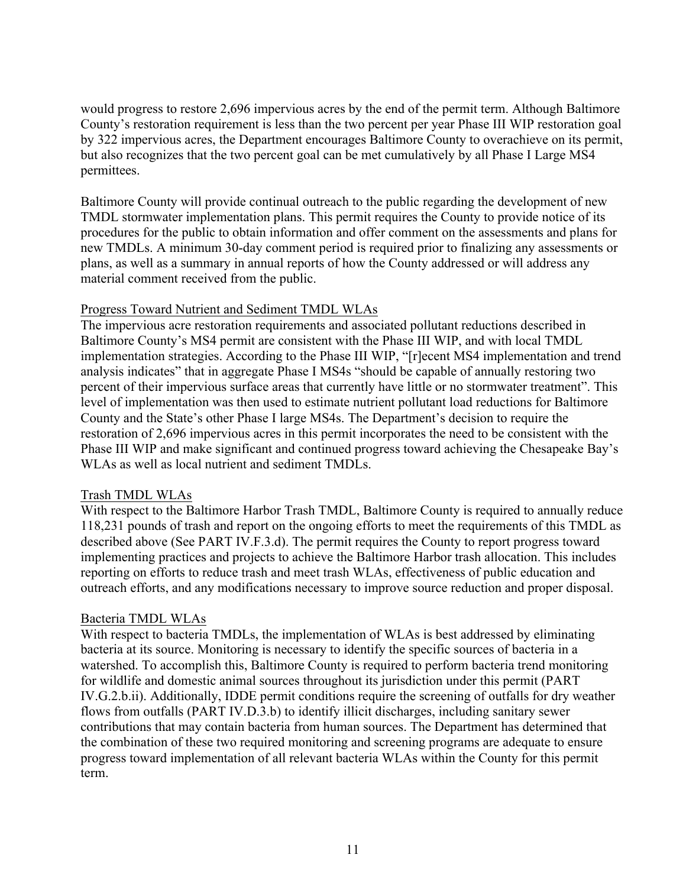would progress to restore 2,696 impervious acres by the end of the permit term. Although Baltimore County's restoration requirement is less than the two percent per year Phase III WIP restoration goal by 322 impervious acres, the Department encourages Baltimore County to overachieve on its permit, but also recognizes that the two percent goal can be met cumulatively by all Phase I Large MS4 permittees.

Baltimore County will provide continual outreach to the public regarding the development of new TMDL stormwater implementation plans. This permit requires the County to provide notice of its procedures for the public to obtain information and offer comment on the assessments and plans for new TMDLs. A minimum 30-day comment period is required prior to finalizing any assessments or plans, as well as a summary in annual reports of how the County addressed or will address any material comment received from the public.

### Progress Toward Nutrient and Sediment TMDL WLAs

The impervious acre restoration requirements and associated pollutant reductions described in Baltimore County's MS4 permit are consistent with the Phase III WIP, and with local TMDL implementation strategies. According to the Phase III WIP, "[r]ecent MS4 implementation and trend analysis indicates" that in aggregate Phase I MS4s "should be capable of annually restoring two percent of their impervious surface areas that currently have little or no stormwater treatment". This level of implementation was then used to estimate nutrient pollutant load reductions for Baltimore County and the State's other Phase I large MS4s. The Department's decision to require the restoration of 2,696 impervious acres in this permit incorporates the need to be consistent with the Phase III WIP and make significant and continued progress toward achieving the Chesapeake Bay's WLAs as well as local nutrient and sediment TMDLs.

#### Trash TMDL WLAs

With respect to the Baltimore Harbor Trash TMDL, Baltimore County is required to annually reduce 118,231 pounds of trash and report on the ongoing efforts to meet the requirements of this TMDL as described above (See PART IV.F.3.d). The permit requires the County to report progress toward implementing practices and projects to achieve the Baltimore Harbor trash allocation. This includes reporting on efforts to reduce trash and meet trash WLAs, effectiveness of public education and outreach efforts, and any modifications necessary to improve source reduction and proper disposal.

#### Bacteria TMDL WLAs

With respect to bacteria TMDLs, the implementation of WLAs is best addressed by eliminating bacteria at its source. Monitoring is necessary to identify the specific sources of bacteria in a watershed. To accomplish this, Baltimore County is required to perform bacteria trend monitoring for wildlife and domestic animal sources throughout its jurisdiction under this permit (PART IV.G.2.b.ii). Additionally, IDDE permit conditions require the screening of outfalls for dry weather flows from outfalls (PART IV.D.3.b) to identify illicit discharges, including sanitary sewer contributions that may contain bacteria from human sources. The Department has determined that the combination of these two required monitoring and screening programs are adequate to ensure progress toward implementation of all relevant bacteria WLAs within the County for this permit term.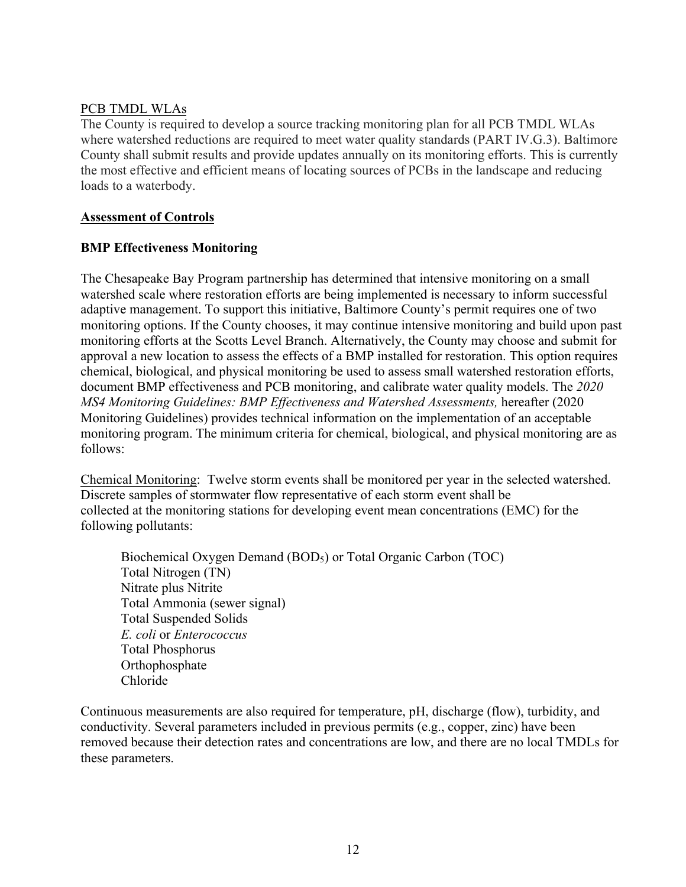### PCB TMDL WLAs

The County is required to develop a source tracking monitoring plan for all PCB TMDL WLAs where watershed reductions are required to meet water quality standards (PART IV.G.3). Baltimore County shall submit results and provide updates annually on its monitoring efforts. This is currently the most effective and efficient means of locating sources of PCBs in the landscape and reducing loads to a waterbody.

### **Assessment of Controls**

# **BMP Effectiveness Monitoring**

The Chesapeake Bay Program partnership has determined that intensive monitoring on a small watershed scale where restoration efforts are being implemented is necessary to inform successful adaptive management. To support this initiative, Baltimore County's permit requires one of two monitoring options. If the County chooses, it may continue intensive monitoring and build upon past monitoring efforts at the Scotts Level Branch. Alternatively, the County may choose and submit for approval a new location to assess the effects of a BMP installed for restoration. This option requires chemical, biological, and physical monitoring be used to assess small watershed restoration efforts, document BMP effectiveness and PCB monitoring, and calibrate water quality models. The *2020 MS4 Monitoring Guidelines: BMP Effectiveness and Watershed Assessments,* hereafter (2020 Monitoring Guidelines) provides technical information on the implementation of an acceptable monitoring program. The minimum criteria for chemical, biological, and physical monitoring are as follows:

Chemical Monitoring: Twelve storm events shall be monitored per year in the selected watershed. Discrete samples of stormwater flow representative of each storm event shall be collected at the monitoring stations for developing event mean concentrations (EMC) for the following pollutants:

Biochemical Oxygen Demand (BOD<sub>5</sub>) or Total Organic Carbon (TOC) Total Nitrogen (TN) Nitrate plus Nitrite Total Ammonia (sewer signal) Total Suspended Solids *E. coli* or *Enterococcus* Total Phosphorus Orthophosphate Chloride

Continuous measurements are also required for temperature, pH, discharge (flow), turbidity, and conductivity. Several parameters included in previous permits (e.g., copper, zinc) have been removed because their detection rates and concentrations are low, and there are no local TMDLs for these parameters.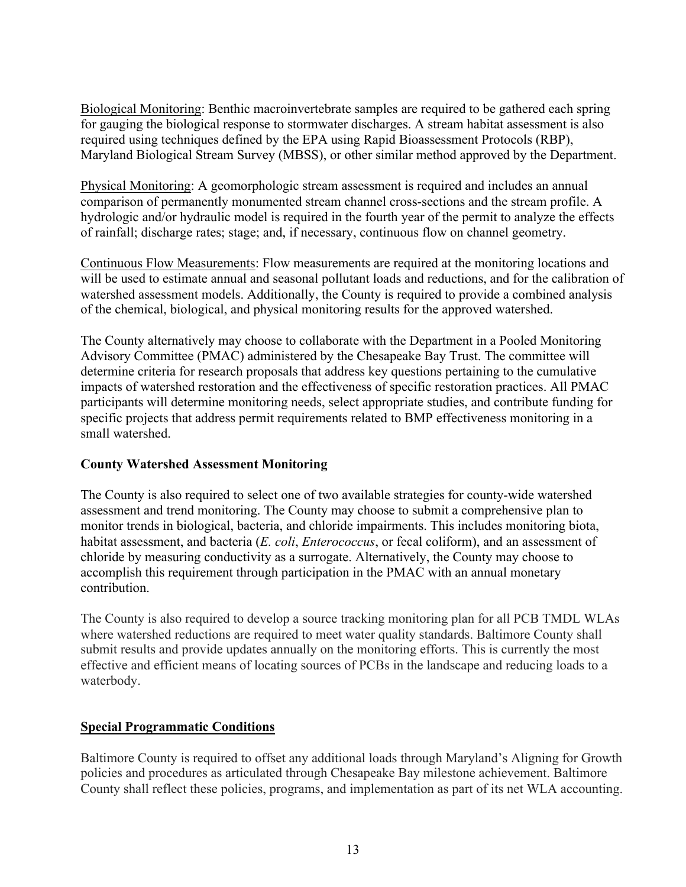Biological Monitoring: Benthic macroinvertebrate samples are required to be gathered each spring for gauging the biological response to stormwater discharges. A stream habitat assessment is also required using techniques defined by the EPA using Rapid Bioassessment Protocols (RBP), Maryland Biological Stream Survey (MBSS), or other similar method approved by the Department.

Physical Monitoring: A geomorphologic stream assessment is required and includes an annual comparison of permanently monumented stream channel cross-sections and the stream profile. A hydrologic and/or hydraulic model is required in the fourth year of the permit to analyze the effects of rainfall; discharge rates; stage; and, if necessary, continuous flow on channel geometry.

Continuous Flow Measurements: Flow measurements are required at the monitoring locations and will be used to estimate annual and seasonal pollutant loads and reductions, and for the calibration of watershed assessment models. Additionally, the County is required to provide a combined analysis of the chemical, biological, and physical monitoring results for the approved watershed.

The County alternatively may choose to collaborate with the Department in a Pooled Monitoring Advisory Committee (PMAC) administered by the Chesapeake Bay Trust. The committee will determine criteria for research proposals that address key questions pertaining to the cumulative impacts of watershed restoration and the effectiveness of specific restoration practices. All PMAC participants will determine monitoring needs, select appropriate studies, and contribute funding for specific projects that address permit requirements related to BMP effectiveness monitoring in a small watershed.

# **County Watershed Assessment Monitoring**

The County is also required to select one of two available strategies for county-wide watershed assessment and trend monitoring. The County may choose to submit a comprehensive plan to monitor trends in biological, bacteria, and chloride impairments. This includes monitoring biota, habitat assessment, and bacteria (*E. coli*, *Enterococcus*, or fecal coliform), and an assessment of chloride by measuring conductivity as a surrogate. Alternatively, the County may choose to accomplish this requirement through participation in the PMAC with an annual monetary contribution.

The County is also required to develop a source tracking monitoring plan for all PCB TMDL WLAs where watershed reductions are required to meet water quality standards. Baltimore County shall submit results and provide updates annually on the monitoring efforts. This is currently the most effective and efficient means of locating sources of PCBs in the landscape and reducing loads to a waterbody.

# **Special Programmatic Conditions**

Baltimore County is required to offset any additional loads through Maryland's Aligning for Growth policies and procedures as articulated through Chesapeake Bay milestone achievement. Baltimore County shall reflect these policies, programs, and implementation as part of its net WLA accounting.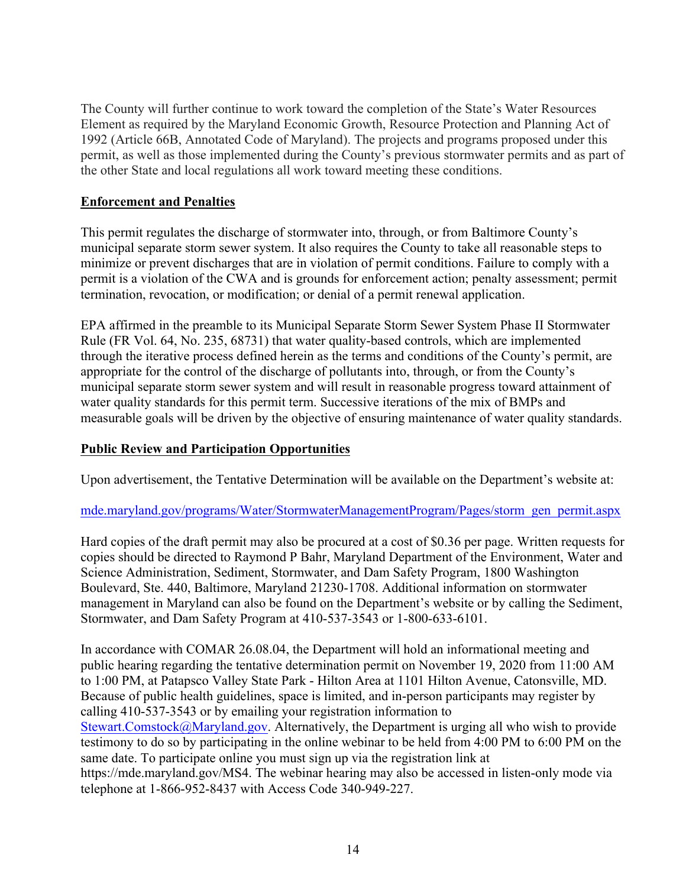The County will further continue to work toward the completion of the State's Water Resources Element as required by the Maryland Economic Growth, Resource Protection and Planning Act of 1992 (Article 66B, Annotated Code of Maryland). The projects and programs proposed under this permit, as well as those implemented during the County's previous stormwater permits and as part of the other State and local regulations all work toward meeting these conditions.

# **Enforcement and Penalties**

This permit regulates the discharge of stormwater into, through, or from Baltimore County's municipal separate storm sewer system. It also requires the County to take all reasonable steps to minimize or prevent discharges that are in violation of permit conditions. Failure to comply with a permit is a violation of the CWA and is grounds for enforcement action; penalty assessment; permit termination, revocation, or modification; or denial of a permit renewal application.

EPA affirmed in the preamble to its Municipal Separate Storm Sewer System Phase II Stormwater Rule (FR Vol. 64, No. 235, 68731) that water quality-based controls, which are implemented through the iterative process defined herein as the terms and conditions of the County's permit, are appropriate for the control of the discharge of pollutants into, through, or from the County's municipal separate storm sewer system and will result in reasonable progress toward attainment of water quality standards for this permit term. Successive iterations of the mix of BMPs and measurable goals will be driven by the objective of ensuring maintenance of water quality standards.

# **Public Review and Participation Opportunities**

Upon advertisement, the Tentative Determination will be available on the Department's website at:

# mde.maryland.gov/programs/Water/StormwaterManagementProgram/Pages/storm\_gen\_permit.aspx

Hard copies of the draft permit may also be procured at a cost of \$0.36 per page. Written requests for copies should be directed to Raymond P Bahr, Maryland Department of the Environment, Water and Science Administration, Sediment, Stormwater, and Dam Safety Program, 1800 Washington Boulevard, Ste. 440, Baltimore, Maryland 21230-1708. Additional information on stormwater management in Maryland can also be found on the Department's website or by calling the Sediment, Stormwater, and Dam Safety Program at 410-537-3543 or 1-800-633-6101.

In accordance with COMAR 26.08.04, the Department will hold an informational meeting and public hearing regarding the tentative determination permit on November 19, 2020 from 11:00 AM to 1:00 PM, at Patapsco Valley State Park - Hilton Area at 1101 Hilton Avenue, Catonsville, MD. Because of public health guidelines, space is limited, and in-person participants may register by calling 410-537-3543 or by emailing your registration information to Stewart.Comstock@Maryland.gov. Alternatively, the Department is urging all who wish to provide testimony to do so by participating in the online webinar to be held from 4:00 PM to 6:00 PM on the same date. To participate online you must sign up via the registration link at https://mde.maryland.gov/MS4. The webinar hearing may also be accessed in listen-only mode via telephone at 1-866-952-8437 with Access Code 340-949-227.